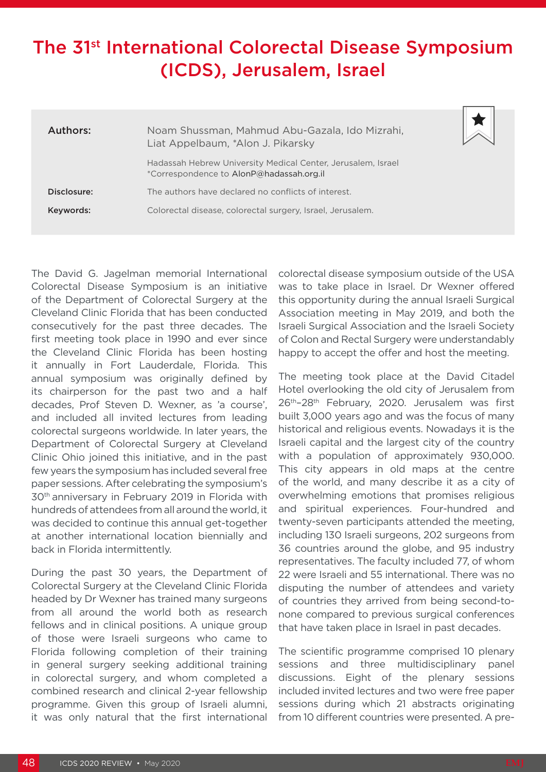## The 31st International Colorectal Disease Symposium (ICDS), Jerusalem, Israel

| Authors:    | Noam Shussman, Mahmud Abu-Gazala, Ido Mizrahi,<br>Liat Appelbaum, *Alon J. Pikarsky                      |
|-------------|----------------------------------------------------------------------------------------------------------|
|             | Hadassah Hebrew University Medical Center, Jerusalem, Israel<br>*Correspondence to AlonP@hadassah.org.il |
| Disclosure: | The authors have declared no conflicts of interest.                                                      |
| Keywords:   | Colorectal disease, colorectal surgery, Israel, Jerusalem.                                               |

The David G. Jagelman memorial International Colorectal Disease Symposium is an initiative of the Department of Colorectal Surgery at the Cleveland Clinic Florida that has been conducted consecutively for the past three decades. The first meeting took place in 1990 and ever since the Cleveland Clinic Florida has been hosting it annually in Fort Lauderdale, Florida. This annual symposium was originally defined by its chairperson for the past two and a half decades, Prof Steven D. Wexner, as 'a course', and included all invited lectures from leading colorectal surgeons worldwide. In later years, the Department of Colorectal Surgery at Cleveland Clinic Ohio joined this initiative, and in the past few years the symposium has included several free paper sessions. After celebrating the symposium's 30th anniversary in February 2019 in Florida with hundreds of attendees from all around the world, it was decided to continue this annual get-together at another international location biennially and back in Florida intermittently.

During the past 30 years, the Department of Colorectal Surgery at the Cleveland Clinic Florida headed by Dr Wexner has trained many surgeons from all around the world both as research fellows and in clinical positions. A unique group of those were Israeli surgeons who came to Florida following completion of their training in general surgery seeking additional training in colorectal surgery, and whom completed a combined research and clinical 2-year fellowship programme. Given this group of Israeli alumni, it was only natural that the first international

colorectal disease symposium outside of the USA was to take place in Israel. Dr Wexner offered this opportunity during the annual Israeli Surgical Association meeting in May 2019, and both the Israeli Surgical Association and the Israeli Society of Colon and Rectal Surgery were understandably happy to accept the offer and host the meeting.

The meeting took place at the David Citadel Hotel overlooking the old city of Jerusalem from 26th–28th February, 2020. Jerusalem was first built 3,000 years ago and was the focus of many historical and religious events. Nowadays it is the Israeli capital and the largest city of the country with a population of approximately 930,000. This city appears in old maps at the centre of the world, and many describe it as a city of overwhelming emotions that promises religious and spiritual experiences. Four-hundred and twenty-seven participants attended the meeting, including 130 Israeli surgeons, 202 surgeons from 36 countries around the globe, and 95 industry representatives. The faculty included 77, of whom 22 were Israeli and 55 international. There was no disputing the number of attendees and variety of countries they arrived from being second-tonone compared to previous surgical conferences that have taken place in Israel in past decades.

The scientific programme comprised 10 plenary sessions and three multidisciplinary panel discussions. Eight of the plenary sessions included invited lectures and two were free paper sessions during which 21 abstracts originating from 10 different countries were presented. A pre